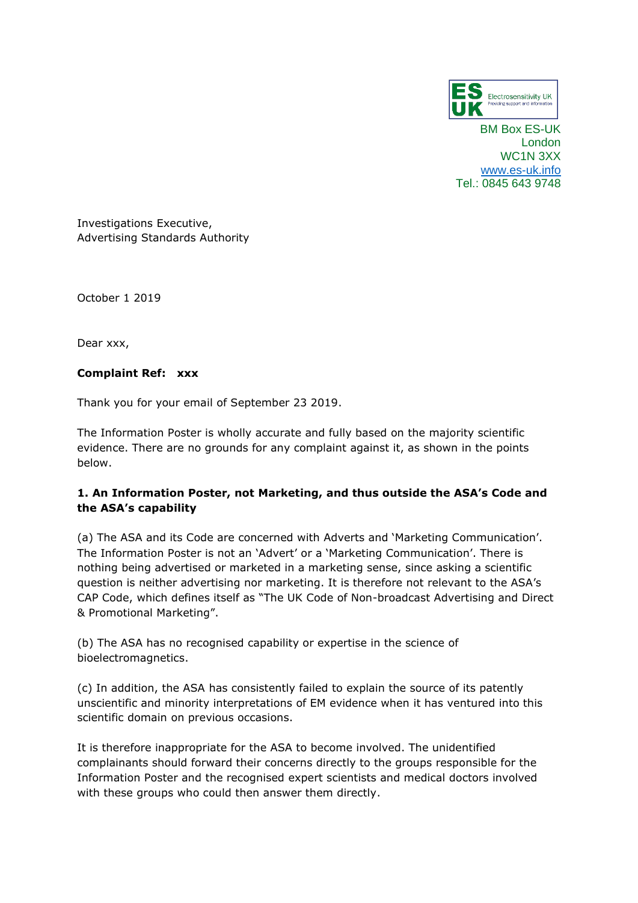

BM Box ES-UK London WC1N 3XX [www.es-uk.info](http://www.es-uk.info/) Tel.: 0845 643 9748

Investigations Executive, Advertising Standards Authority

October 1 2019

Dear xxx,

# **Complaint Ref: xxx**

Thank you for your email of September 23 2019.

The Information Poster is wholly accurate and fully based on the majority scientific evidence. There are no grounds for any complaint against it, as shown in the points below.

# **1. An Information Poster, not Marketing, and thus outside the ASA's Code and the ASA's capability**

(a) The ASA and its Code are concerned with Adverts and 'Marketing Communication'. The Information Poster is not an 'Advert' or a 'Marketing Communication'. There is nothing being advertised or marketed in a marketing sense, since asking a scientific question is neither advertising nor marketing. It is therefore not relevant to the ASA's CAP Code, which defines itself as "The UK Code of Non-broadcast Advertising and Direct & Promotional Marketing".

(b) The ASA has no recognised capability or expertise in the science of bioelectromagnetics.

(c) In addition, the ASA has consistently failed to explain the source of its patently unscientific and minority interpretations of EM evidence when it has ventured into this scientific domain on previous occasions.

It is therefore inappropriate for the ASA to become involved. The unidentified complainants should forward their concerns directly to the groups responsible for the Information Poster and the recognised expert scientists and medical doctors involved with these groups who could then answer them directly.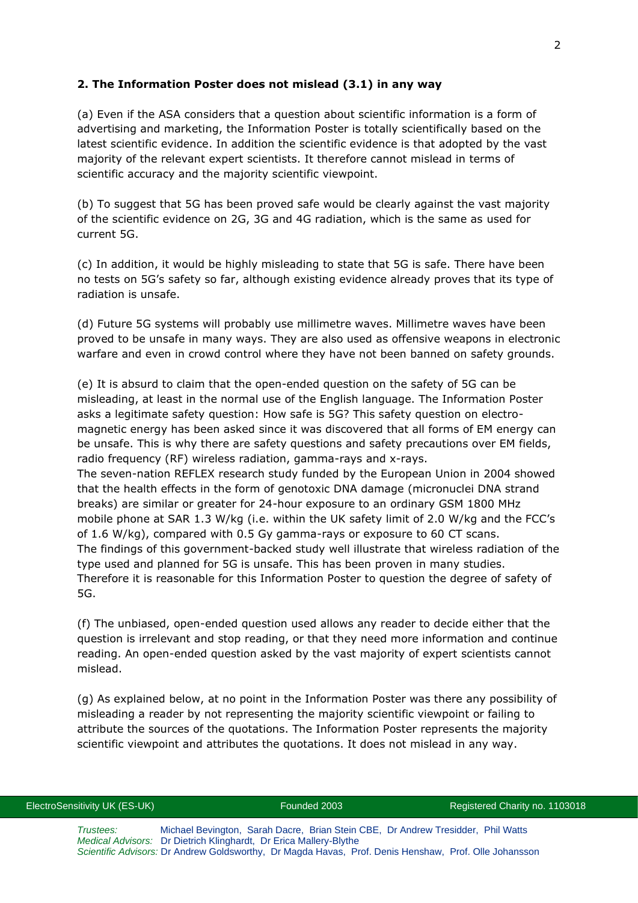# **2. The Information Poster does not mislead (3.1) in any way**

(a) Even if the ASA considers that a question about scientific information is a form of advertising and marketing, the Information Poster is totally scientifically based on the latest scientific evidence. In addition the scientific evidence is that adopted by the vast majority of the relevant expert scientists. It therefore cannot mislead in terms of scientific accuracy and the majority scientific viewpoint.

(b) To suggest that 5G has been proved safe would be clearly against the vast majority of the scientific evidence on 2G, 3G and 4G radiation, which is the same as used for current 5G.

(c) In addition, it would be highly misleading to state that 5G is safe. There have been no tests on 5G's safety so far, although existing evidence already proves that its type of radiation is unsafe.

(d) Future 5G systems will probably use millimetre waves. Millimetre waves have been proved to be unsafe in many ways. They are also used as offensive weapons in electronic warfare and even in crowd control where they have not been banned on safety grounds.

(e) It is absurd to claim that the open-ended question on the safety of 5G can be misleading, at least in the normal use of the English language. The Information Poster asks a legitimate safety question: How safe is 5G? This safety question on electromagnetic energy has been asked since it was discovered that all forms of EM energy can be unsafe. This is why there are safety questions and safety precautions over EM fields, radio frequency (RF) wireless radiation, gamma-rays and x-rays. The seven-nation REFLEX research study funded by the European Union in 2004 showed that the health effects in the form of genotoxic DNA damage (micronuclei DNA strand breaks) are similar or greater for 24-hour exposure to an ordinary GSM 1800 MHz mobile phone at SAR 1.3 W/kg (i.e. within the UK safety limit of 2.0 W/kg and the FCC's of 1.6 W/kg), compared with 0.5 Gy gamma-rays or exposure to 60 CT scans. The findings of this government-backed study well illustrate that wireless radiation of the type used and planned for 5G is unsafe. This has been proven in many studies. Therefore it is reasonable for this Information Poster to question the degree of safety of 5G.

(f) The unbiased, open-ended question used allows any reader to decide either that the question is irrelevant and stop reading, or that they need more information and continue reading. An open-ended question asked by the vast majority of expert scientists cannot mislead.

(g) As explained below, at no point in the Information Poster was there any possibility of misleading a reader by not representing the majority scientific viewpoint or failing to attribute the sources of the quotations. The Information Poster represents the majority scientific viewpoint and attributes the quotations. It does not mislead in any way.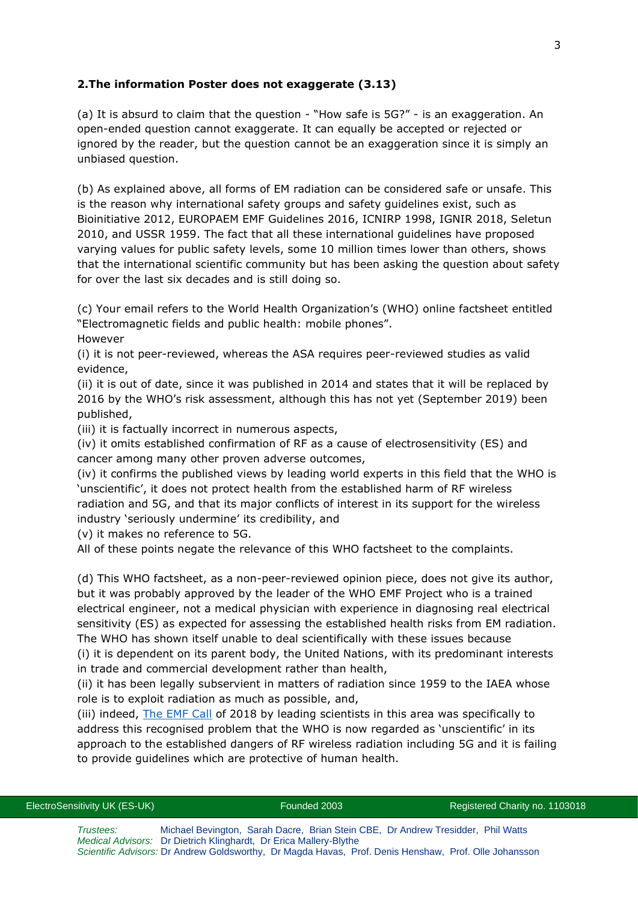# **2.The information Poster does not exaggerate (3.13)**

(a) It is absurd to claim that the question - "How safe is 5G?" - is an exaggeration. An open-ended question cannot exaggerate. It can equally be accepted or rejected or ignored by the reader, but the question cannot be an exaggeration since it is simply an unbiased question.

(b) As explained above, all forms of EM radiation can be considered safe or unsafe. This is the reason why international safety groups and safety guidelines exist, such as Bioinitiative 2012, EUROPAEM EMF Guidelines 2016, ICNIRP 1998, IGNIR 2018, Seletun 2010, and USSR 1959. The fact that all these international guidelines have proposed varying values for public safety levels, some 10 million times lower than others, shows that the international scientific community but has been asking the question about safety for over the last six decades and is still doing so.

(c) Your email refers to the World Health Organization's (WHO) online factsheet entitled "Electromagnetic fields and public health: mobile phones". However

(i) it is not peer-reviewed, whereas the ASA requires peer-reviewed studies as valid evidence,

(ii) it is out of date, since it was published in 2014 and states that it will be replaced by 2016 by the WHO's risk assessment, although this has not yet (September 2019) been published,

(iii) it is factually incorrect in numerous aspects,

(iv) it omits established confirmation of RF as a cause of electrosensitivity (ES) and cancer among many other proven adverse outcomes,

(iv) it confirms the published views by leading world experts in this field that the WHO is 'unscientific', it does not protect health from the established harm of RF wireless radiation and 5G, and that its major conflicts of interest in its support for the wireless industry 'seriously undermine' its credibility, and

(v) it makes no reference to 5G.

All of these points negate the relevance of this WHO factsheet to the complaints.

(d) This WHO factsheet, as a non-peer-reviewed opinion piece, does not give its author, but it was probably approved by the leader of the WHO EMF Project who is a trained electrical engineer, not a medical physician with experience in diagnosing real electrical sensitivity (ES) as expected for assessing the established health risks from EM radiation. The WHO has shown itself unable to deal scientifically with these issues because (i) it is dependent on its parent body, the United Nations, with its predominant interests

in trade and commercial development rather than health,

(ii) it has been legally subservient in matters of radiation since 1959 to the IAEA whose role is to exploit radiation as much as possible, and,

(iii) indeed, [The EMF Call](https://www.emfcall.org/) of 2018 by leading scientists in this area was specifically to address this recognised problem that the WHO is now regarded as 'unscientific' in its approach to the established dangers of RF wireless radiation including 5G and it is failing to provide guidelines which are protective of human health.

| ElectroSensitivity UK (ES-UK) |                                                                                  | Founded 2003 | Registered Charity no. 1103018 |
|-------------------------------|----------------------------------------------------------------------------------|--------------|--------------------------------|
| Trustees:                     | Michael Bevington, Sarah Dacre, Brian Stein CBE, Dr Andrew Tresidder, Phil Watts |              |                                |

*Medical Advisors:* Dr Dietrich Klinghardt, Dr Erica Mallery-Blythe *Scientific Advisors:* Dr Andrew Goldsworthy, Dr Magda Havas, Prof. Denis Henshaw, Prof. Olle Johansson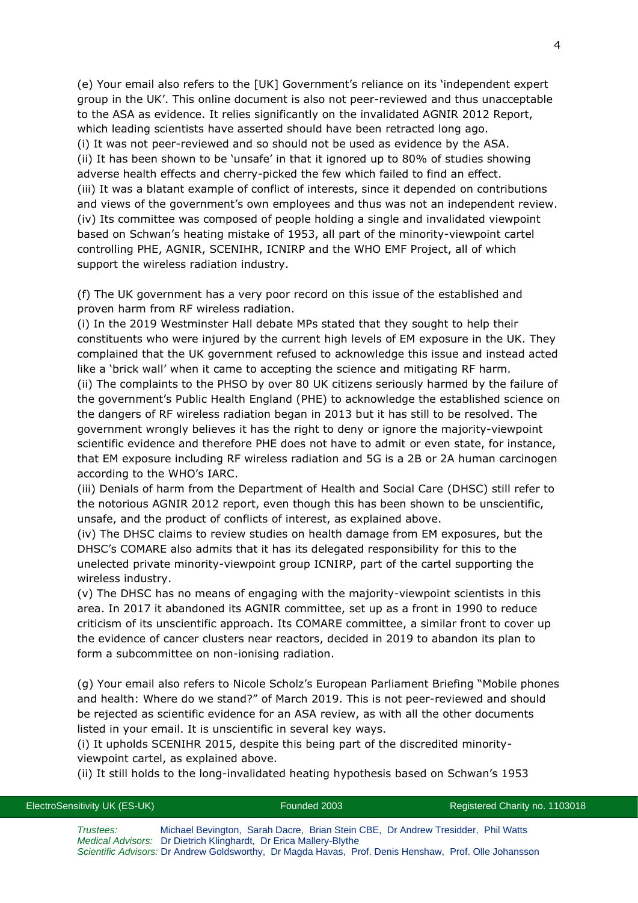(e) Your email also refers to the [UK] Government's reliance on its 'independent expert group in the UK'. This online document is also not peer-reviewed and thus unacceptable to the ASA as evidence. It relies significantly on the invalidated AGNIR 2012 Report, which leading scientists have asserted should have been retracted long ago. (i) It was not peer-reviewed and so should not be used as evidence by the ASA. (ii) It has been shown to be 'unsafe' in that it ignored up to 80% of studies showing adverse health effects and cherry-picked the few which failed to find an effect. (iii) It was a blatant example of conflict of interests, since it depended on contributions and views of the government's own employees and thus was not an independent review. (iv) Its committee was composed of people holding a single and invalidated viewpoint based on Schwan's heating mistake of 1953, all part of the minority-viewpoint cartel controlling PHE, AGNIR, SCENIHR, ICNIRP and the WHO EMF Project, all of which support the wireless radiation industry.

(f) The UK government has a very poor record on this issue of the established and proven harm from RF wireless radiation.

(i) In the 2019 Westminster Hall debate MPs stated that they sought to help their constituents who were injured by the current high levels of EM exposure in the UK. They complained that the UK government refused to acknowledge this issue and instead acted like a 'brick wall' when it came to accepting the science and mitigating RF harm.

(ii) The complaints to the PHSO by over 80 UK citizens seriously harmed by the failure of the government's Public Health England (PHE) to acknowledge the established science on the dangers of RF wireless radiation began in 2013 but it has still to be resolved. The government wrongly believes it has the right to deny or ignore the majority-viewpoint scientific evidence and therefore PHE does not have to admit or even state, for instance, that EM exposure including RF wireless radiation and 5G is a 2B or 2A human carcinogen according to the WHO's IARC.

(iii) Denials of harm from the Department of Health and Social Care (DHSC) still refer to the notorious AGNIR 2012 report, even though this has been shown to be unscientific, unsafe, and the product of conflicts of interest, as explained above.

(iv) The DHSC claims to review studies on health damage from EM exposures, but the DHSC's COMARE also admits that it has its delegated responsibility for this to the unelected private minority-viewpoint group ICNIRP, part of the cartel supporting the wireless industry.

(v) The DHSC has no means of engaging with the majority-viewpoint scientists in this area. In 2017 it abandoned its AGNIR committee, set up as a front in 1990 to reduce criticism of its unscientific approach. Its COMARE committee, a similar front to cover up the evidence of cancer clusters near reactors, decided in 2019 to abandon its plan to form a subcommittee on non-ionising radiation.

(g) Your email also refers to Nicole Scholz's European Parliament Briefing "Mobile phones and health: Where do we stand?" of March 2019. This is not peer-reviewed and should be rejected as scientific evidence for an ASA review, as with all the other documents listed in your email. It is unscientific in several key ways.

(i) It upholds SCENIHR 2015, despite this being part of the discredited minorityviewpoint cartel, as explained above.

(ii) It still holds to the long-invalidated heating hypothesis based on Schwan's 1953

ElectroSensitivity UK (ES-UK) Founded 2003 Registered Charity no. 1103018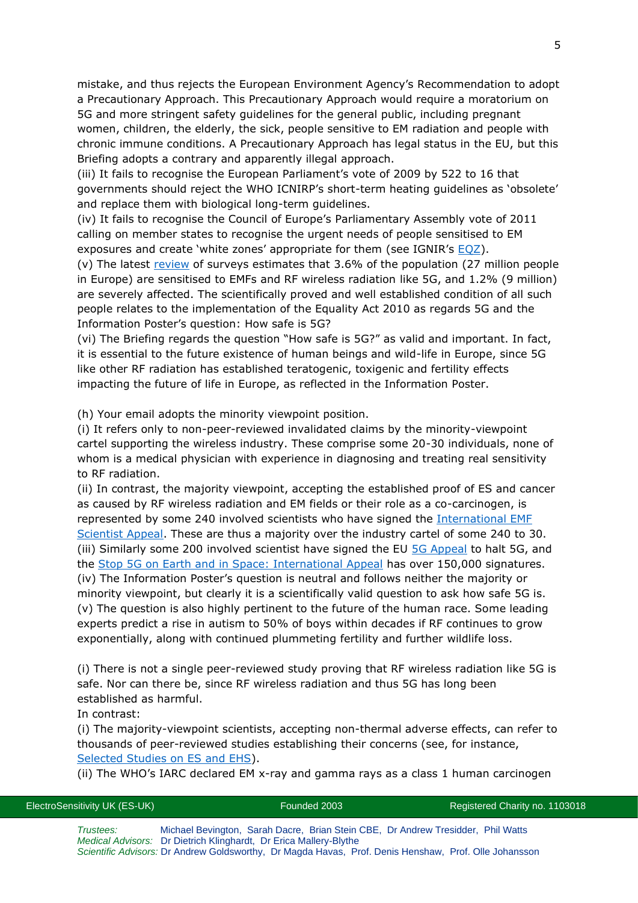mistake, and thus rejects the European Environment Agency's Recommendation to adopt a Precautionary Approach. This Precautionary Approach would require a moratorium on 5G and more stringent safety guidelines for the general public, including pregnant women, children, the elderly, the sick, people sensitive to EM radiation and people with chronic immune conditions. A Precautionary Approach has legal status in the EU, but this Briefing adopts a contrary and apparently illegal approach.

(iii) It fails to recognise the European Parliament's vote of 2009 by 522 to 16 that governments should reject the WHO ICNIRP's short-term heating guidelines as 'obsolete' and replace them with biological long-term guidelines.

(iv) It fails to recognise the Council of Europe's Parliamentary Assembly vote of 2011 calling on member states to recognise the urgent needs of people sensitised to EM exposures and create 'white zones' appropriate for them (see IGNIR's [EQZ\)](https://files.persona.co/72583/Press-Release-IGNIR-EQZ-v4-23-Sept-2019.pdf).

(v) The latest [review](https://www.ommegaonline.org/article-details/The-Prevalence-of-People-With-Restricted-Access-to-Work-in-Man-Made-Electromagnetic-Environments/2402) of surveys estimates that 3.6% of the population (27 million people in Europe) are sensitised to EMFs and RF wireless radiation like 5G, and 1.2% (9 million) are severely affected. The scientifically proved and well established condition of all such people relates to the implementation of the Equality Act 2010 as regards 5G and the Information Poster's question: How safe is 5G?

(vi) The Briefing regards the question "How safe is 5G?" as valid and important. In fact, it is essential to the future existence of human beings and wild-life in Europe, since 5G like other RF radiation has established teratogenic, toxigenic and fertility effects impacting the future of life in Europe, as reflected in the Information Poster.

(h) Your email adopts the minority viewpoint position.

(i) It refers only to non-peer-reviewed invalidated claims by the minority-viewpoint cartel supporting the wireless industry. These comprise some 20-30 individuals, none of whom is a medical physician with experience in diagnosing and treating real sensitivity to RF radiation.

(ii) In contrast, the majority viewpoint, accepting the established proof of ES and cancer as caused by RF wireless radiation and EM fields or their role as a co-carcinogen, is represented by some 240 involved scientists who have signed the [International EMF](https://www.emfscientist.org/)  [Scientist Appeal.](https://www.emfscientist.org/) These are thus a majority over the industry cartel of some 240 to 30. (iii) Similarly some 200 involved scientist have signed the EU [5G Appeal](http://www.5gappeal.eu/) to halt 5G, and the [Stop 5G on Earth and in Space: International Appeal](https://www.5gspaceappeal.org/) has over 150,000 signatures. (iv) The Information Poster's question is neutral and follows neither the majority or minority viewpoint, but clearly it is a scientifically valid question to ask how safe 5G is. (v) The question is also highly pertinent to the future of the human race. Some leading experts predict a rise in autism to 50% of boys within decades if RF continues to grow exponentially, along with continued plummeting fertility and further wildlife loss.

(i) There is not a single peer-reviewed study proving that RF wireless radiation like 5G is safe. Nor can there be, since RF wireless radiation and thus 5G has long been established as harmful.

In contrast:

(i) The majority-viewpoint scientists, accepting non-thermal adverse effects, can refer to thousands of peer-reviewed studies establishing their concerns (see, for instance, [Selected Studies on ES and EHS\)](http://www.es-uk.info/wp-content/uploads/2018/05/Selected%20ES%20and%20EHS%20studies.pdf).

(ii) The WHO's IARC declared EM x-ray and gamma rays as a class 1 human carcinogen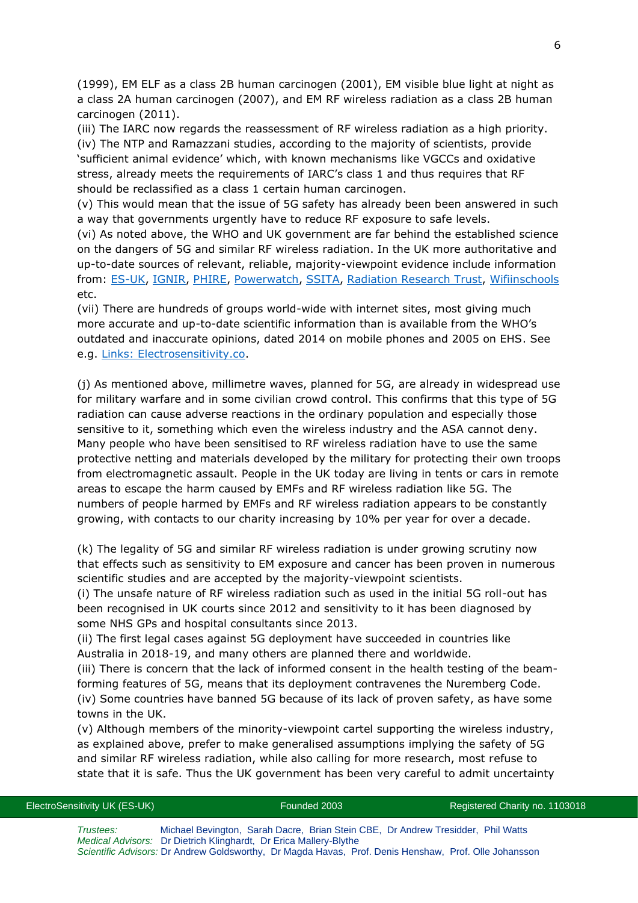(1999), EM ELF as a class 2B human carcinogen (2001), EM visible blue light at night as a class 2A human carcinogen (2007), and EM RF wireless radiation as a class 2B human carcinogen (2011).

(iii) The IARC now regards the reassessment of RF wireless radiation as a high priority. (iv) The NTP and Ramazzani studies, according to the majority of scientists, provide 'sufficient animal evidence' which, with known mechanisms like VGCCs and oxidative stress, already meets the requirements of IARC's class 1 and thus requires that RF should be reclassified as a class 1 certain human carcinogen.

(v) This would mean that the issue of 5G safety has already been been answered in such a way that governments urgently have to reduce RF exposure to safe levels.

(vi) As noted above, the WHO and UK government are far behind the established science on the dangers of 5G and similar RF wireless radiation. In the UK more authoritative and up-to-date sources of relevant, reliable, majority-viewpoint evidence include information from: [ES-UK,](http://www.es-uk.info/) [IGNIR,](https://www.ignir.org/) [PHIRE,](http://phiremedical.org/) [Powerwatch,](https://www.powerwatch.org.uk/) [SSITA,](https://ssita.org.uk/) [Radiation Research Trust,](https://www.radiationresearch.org/) [Wifiinschools](http://wifiinschools.org.uk/) etc.

(vii) There are hundreds of groups world-wide with internet sites, most giving much more accurate and up-to-date scientific information than is available from the WHO's outdated and inaccurate opinions, dated 2014 on mobile phones and 2005 on EHS. See e.g. [Links: Electrosensitivity.co.](https://www.electrosensitivity.co/links-1.html)

(j) As mentioned above, millimetre waves, planned for 5G, are already in widespread use for military warfare and in some civilian crowd control. This confirms that this type of 5G radiation can cause adverse reactions in the ordinary population and especially those sensitive to it, something which even the wireless industry and the ASA cannot deny. Many people who have been sensitised to RF wireless radiation have to use the same protective netting and materials developed by the military for protecting their own troops from electromagnetic assault. People in the UK today are living in tents or cars in remote areas to escape the harm caused by EMFs and RF wireless radiation like 5G. The numbers of people harmed by EMFs and RF wireless radiation appears to be constantly growing, with contacts to our charity increasing by 10% per year for over a decade.

(k) The legality of 5G and similar RF wireless radiation is under growing scrutiny now that effects such as sensitivity to EM exposure and cancer has been proven in numerous scientific studies and are accepted by the majority-viewpoint scientists.

(i) The unsafe nature of RF wireless radiation such as used in the initial 5G roll-out has been recognised in UK courts since 2012 and sensitivity to it has been diagnosed by some NHS GPs and hospital consultants since 2013.

(ii) The first legal cases against 5G deployment have succeeded in countries like Australia in 2018-19, and many others are planned there and worldwide.

(iii) There is concern that the lack of informed consent in the health testing of the beamforming features of 5G, means that its deployment contravenes the Nuremberg Code. (iv) Some countries have banned 5G because of its lack of proven safety, as have some towns in the UK.

(v) Although members of the minority-viewpoint cartel supporting the wireless industry, as explained above, prefer to make generalised assumptions implying the safety of 5G and similar RF wireless radiation, while also calling for more research, most refuse to state that it is safe. Thus the UK government has been very careful to admit uncertainty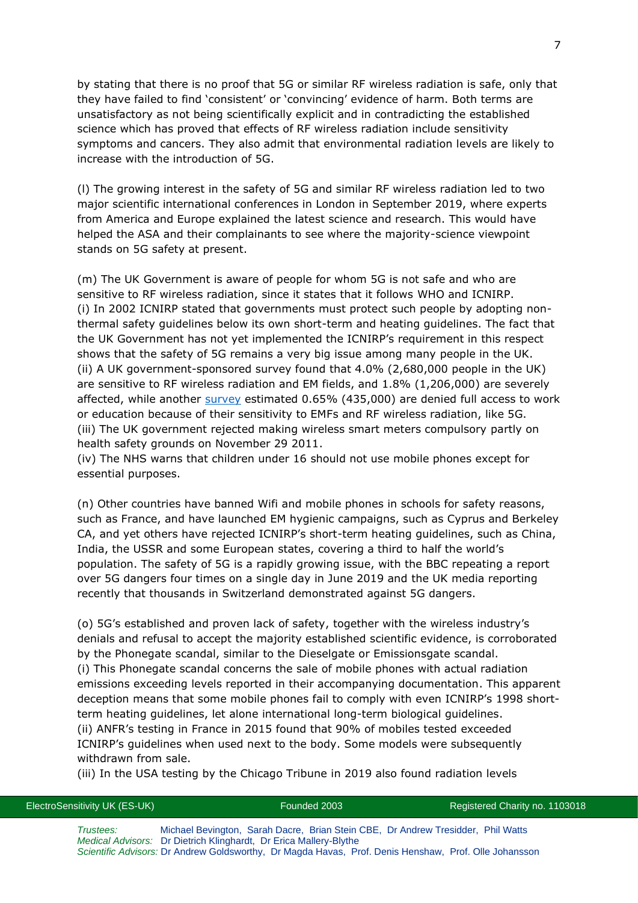by stating that there is no proof that 5G or similar RF wireless radiation is safe, only that they have failed to find 'consistent' or 'convincing' evidence of harm. Both terms are unsatisfactory as not being scientifically explicit and in contradicting the established science which has proved that effects of RF wireless radiation include sensitivity symptoms and cancers. They also admit that environmental radiation levels are likely to increase with the introduction of 5G.

(l) The growing interest in the safety of 5G and similar RF wireless radiation led to two major scientific international conferences in London in September 2019, where experts from America and Europe explained the latest science and research. This would have helped the ASA and their complainants to see where the majority-science viewpoint stands on 5G safety at present.

(m) The UK Government is aware of people for whom 5G is not safe and who are sensitive to RF wireless radiation, since it states that it follows WHO and ICNIRP. (i) In 2002 ICNIRP stated that governments must protect such people by adopting nonthermal safety guidelines below its own short-term and heating guidelines. The fact that the UK Government has not yet implemented the ICNIRP's requirement in this respect shows that the safety of 5G remains a very big issue among many people in the UK. (ii) A UK government-sponsored survey found that 4.0% (2,680,000 people in the UK) are sensitive to RF wireless radiation and EM fields, and 1.8% (1,206,000) are severely affected, while another [survey](https://www.ommegaonline.org/article-details/The-Prevalence-of-People-With-Restricted-Access-to-Work-in-Man-Made-Electromagnetic-Environments/2402) estimated 0.65% (435,000) are denied full access to work or education because of their sensitivity to EMFs and RF wireless radiation, like 5G. (iii) The UK government rejected making wireless smart meters compulsory partly on health safety grounds on November 29 2011.

(iv) The NHS warns that children under 16 should not use mobile phones except for essential purposes.

(n) Other countries have banned Wifi and mobile phones in schools for safety reasons, such as France, and have launched EM hygienic campaigns, such as Cyprus and Berkeley CA, and yet others have rejected ICNIRP's short-term heating guidelines, such as China, India, the USSR and some European states, covering a third to half the world's population. The safety of 5G is a rapidly growing issue, with the BBC repeating a report over 5G dangers four times on a single day in June 2019 and the UK media reporting recently that thousands in Switzerland demonstrated against 5G dangers.

(o) 5G's established and proven lack of safety, together with the wireless industry's denials and refusal to accept the majority established scientific evidence, is corroborated by the Phonegate scandal, similar to the Dieselgate or Emissionsgate scandal. (i) This Phonegate scandal concerns the sale of mobile phones with actual radiation emissions exceeding levels reported in their accompanying documentation. This apparent deception means that some mobile phones fail to comply with even ICNIRP's 1998 shortterm heating guidelines, let alone international long-term biological guidelines. (ii) ANFR's testing in France in 2015 found that 90% of mobiles tested exceeded ICNIRP's guidelines when used next to the body. Some models were subsequently withdrawn from sale.

(iii) In the USA testing by the Chicago Tribune in 2019 also found radiation levels

*Trustees:* Michael Bevington, Sarah Dacre, Brian Stein CBE, Dr Andrew Tresidder, Phil Watts *Medical Advisors:* Dr Dietrich Klinghardt, Dr Erica Mallery-Blythe *Scientific Advisors:* Dr Andrew Goldsworthy, Dr Magda Havas, Prof. Denis Henshaw, Prof. Olle Johansson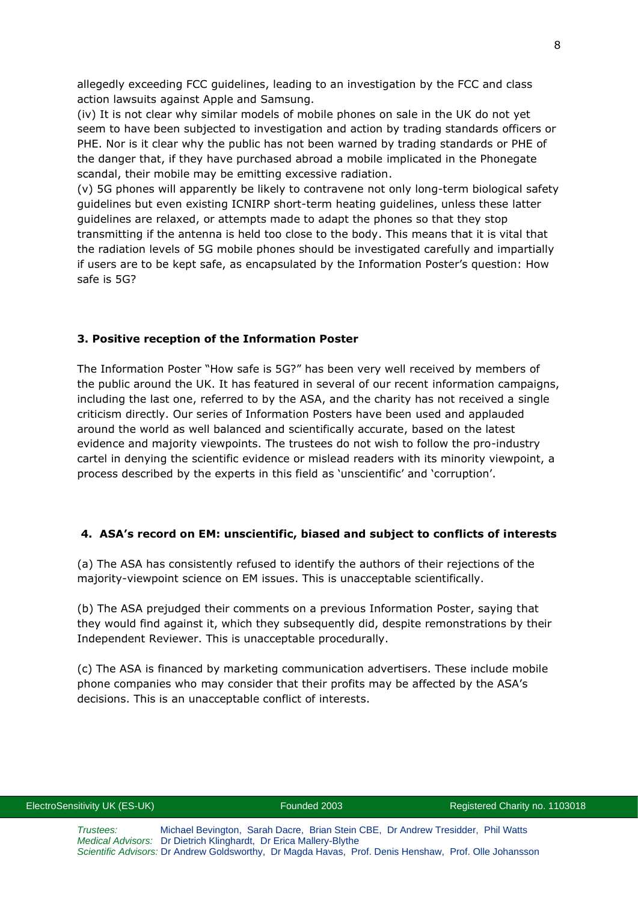allegedly exceeding FCC guidelines, leading to an investigation by the FCC and class action lawsuits against Apple and Samsung.

(iv) It is not clear why similar models of mobile phones on sale in the UK do not yet seem to have been subjected to investigation and action by trading standards officers or PHE. Nor is it clear why the public has not been warned by trading standards or PHE of the danger that, if they have purchased abroad a mobile implicated in the Phonegate scandal, their mobile may be emitting excessive radiation.

(v) 5G phones will apparently be likely to contravene not only long-term biological safety guidelines but even existing ICNIRP short-term heating guidelines, unless these latter guidelines are relaxed, or attempts made to adapt the phones so that they stop transmitting if the antenna is held too close to the body. This means that it is vital that the radiation levels of 5G mobile phones should be investigated carefully and impartially if users are to be kept safe, as encapsulated by the Information Poster's question: How safe is 5G?

### **3. Positive reception of the Information Poster**

The Information Poster "How safe is 5G?" has been very well received by members of the public around the UK. It has featured in several of our recent information campaigns, including the last one, referred to by the ASA, and the charity has not received a single criticism directly. Our series of Information Posters have been used and applauded around the world as well balanced and scientifically accurate, based on the latest evidence and majority viewpoints. The trustees do not wish to follow the pro-industry cartel in denying the scientific evidence or mislead readers with its minority viewpoint, a process described by the experts in this field as 'unscientific' and 'corruption'.

# **4. ASA's record on EM: unscientific, biased and subject to conflicts of interests**

(a) The ASA has consistently refused to identify the authors of their rejections of the majority-viewpoint science on EM issues. This is unacceptable scientifically.

(b) The ASA prejudged their comments on a previous Information Poster, saying that they would find against it, which they subsequently did, despite remonstrations by their Independent Reviewer. This is unacceptable procedurally.

(c) The ASA is financed by marketing communication advertisers. These include mobile phone companies who may consider that their profits may be affected by the ASA's decisions. This is an unacceptable conflict of interests.